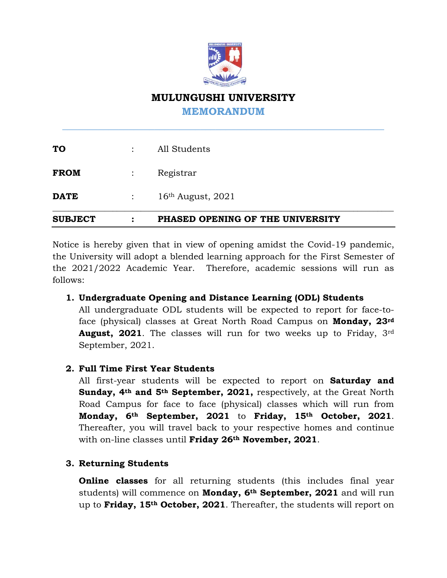

# **MULUNGUSHI UNIVERSITY**

**MEMORANDUM**

**\_\_\_\_\_\_\_\_\_\_\_\_\_\_\_\_\_\_\_\_\_\_\_\_\_\_\_\_\_\_\_\_\_\_\_\_\_\_\_\_\_\_\_\_\_\_\_\_\_\_\_\_\_\_\_\_\_\_\_\_\_\_\_**

| <b>SUBJECT</b> | ٠                                  | PHASED OPENING OF THE UNIVERSITY |
|----------------|------------------------------------|----------------------------------|
| <b>DATE</b>    | $\mathbb{Z}^{\mathbb{Z}^{\times}}$ | $16th$ August, $2021$            |
| <b>FROM</b>    |                                    | Registrar                        |
| <b>TO</b>      |                                    | All Students                     |

Notice is hereby given that in view of opening amidst the Covid-19 pandemic, the University will adopt a blended learning approach for the First Semester of the 2021/2022 Academic Year. Therefore, academic sessions will run as follows:

# **1. Undergraduate Opening and Distance Learning (ODL) Students**

All undergraduate ODL students will be expected to report for face-toface (physical) classes at Great North Road Campus on **Monday, 23rd August, 2021**. The classes will run for two weeks up to Friday, 3rd September, 2021.

# **2. Full Time First Year Students**

All first-year students will be expected to report on **Saturday and Sunday, 4th and 5th September, 2021,** respectively, at the Great North Road Campus for face to face (physical) classes which will run from **Monday, 6th September, 2021** to **Friday, 15th October, 2021**. Thereafter, you will travel back to your respective homes and continue with on-line classes until **Friday 26th November, 2021**.

# **3. Returning Students**

**Online classes** for all returning students (this includes final year students) will commence on **Monday, 6th September, 2021** and will run up to **Friday, 15th October, 2021**. Thereafter, the students will report on